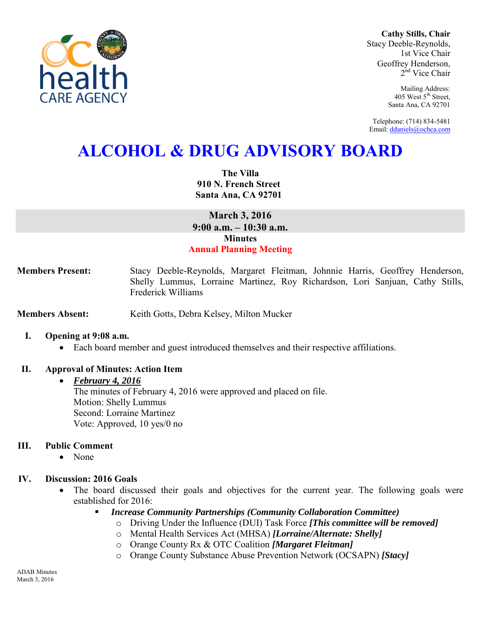

**Cathy Stills, Chair** Stacy Deeble-Reynolds, 1st Vice Chair Geoffrey Henderson, 2<sup>nd</sup> Vice Chair

> Mailing Address: 405 West 5<sup>th</sup> Street, Santa Ana, CA 92701

Telephone: (714) 834-5481 Email[: ddaniels@ochca.com](mailto:ddaniels@ochca.com)

# **ALCOHOL & DRUG ADVISORY BOARD**

**The Villa 910 N. French Street Santa Ana, CA 92701** 

**March 3, 2016 9:00 a.m. – 10:30 a.m. Minutes Annual Planning Meeting** 

**Members Present:** Stacy Deeble-Reynolds, Margaret Fleitman, Johnnie Harris, Geoffrey Henderson, Shelly Lummus, Lorraine Martinez, Roy Richardson, Lori Sanjuan, Cathy Stills, Frederick Williams

**Members Absent:** Keith Gotts, Debra Kelsey, Milton Mucker

#### **I. Opening at 9:08 a.m.**

Each board member and guest introduced themselves and their respective affiliations.

### **II. Approval of Minutes: Action Item**

#### *February 4, 2016*

The minutes of February 4, 2016 were approved and placed on file. Motion: Shelly Lummus Second: Lorraine Martinez Vote: Approved, 10 yes/0 no

#### **III. Public Comment**

• None

### **IV. Discussion: 2016 Goals**

- The board discussed their goals and objectives for the current year. The following goals were established for 2016:
	- *Increase Community Partnerships (Community Collaboration Committee)* 
		- o Driving Under the Influence (DUI) Task Force *[This committee will be removed]*
		- o Mental Health Services Act (MHSA) *[Lorraine/Alternate: Shelly]*
		- o Orange County Rx & OTC Coalition *[Margaret Fleitman]*
		- o Orange County Substance Abuse Prevention Network (OCSAPN) *[Stacy]*